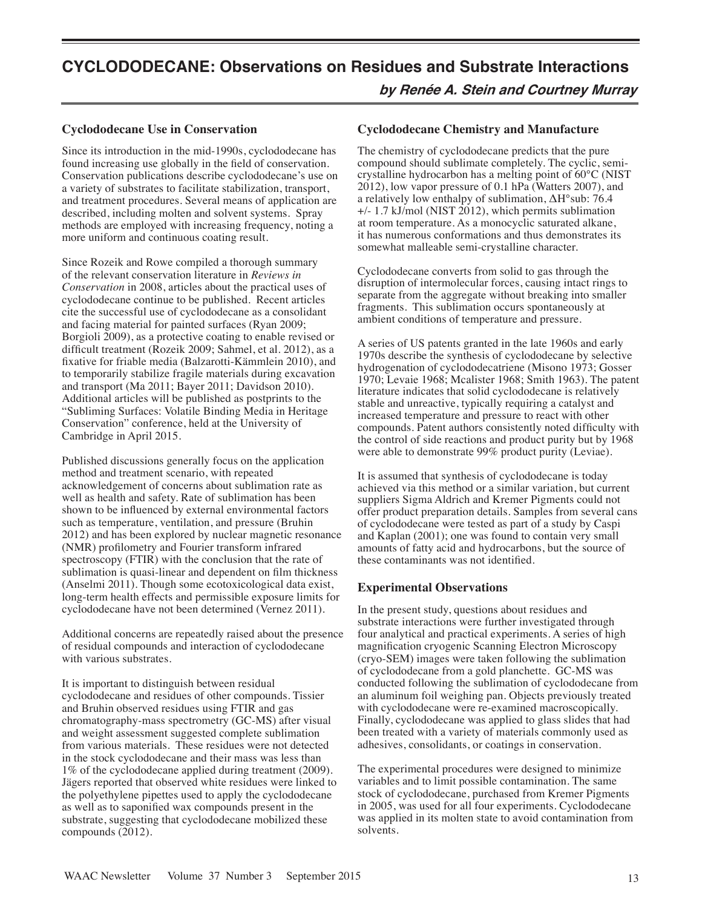# **CYCLODODECANE: Observations on Residues and Substrate Interactions**

**by Renée A. Stein and Courtney Murray**

## **Cyclododecane Use in Conservation**

Since its introduction in the mid-1990s, cyclododecane has found increasing use globally in the field of conservation. Conservation publications describe cyclododecane's use on a variety of substrates to facilitate stabilization, transport, and treatment procedures. Several means of application are described, including molten and solvent systems. Spray methods are employed with increasing frequency, noting a more uniform and continuous coating result.

Since Rozeik and Rowe compiled a thorough summary of the relevant conservation literature in *Reviews in Conservation* in 2008, articles about the practical uses of cyclododecane continue to be published. Recent articles cite the successful use of cyclododecane as a consolidant and facing material for painted surfaces (Ryan 2009; Borgioli 2009), as a protective coating to enable revised or difficult treatment (Rozeik 2009; Sahmel, et al. 2012), as a fixative for friable media (Balzarotti-Kämmlein 2010), and to temporarily stabilize fragile materials during excavation and transport (Ma 2011; Bayer 2011; Davidson 2010). Additional articles will be published as postprints to the "Subliming Surfaces: Volatile Binding Media in Heritage Conservation" conference, held at the University of Cambridge in April 2015.

Published discussions generally focus on the application method and treatment scenario, with repeated acknowledgement of concerns about sublimation rate as well as health and safety. Rate of sublimation has been shown to be influenced by external environmental factors such as temperature, ventilation, and pressure (Bruhin 2012) and has been explored by nuclear magnetic resonance (NMR) profilometry and Fourier transform infrared spectroscopy (FTIR) with the conclusion that the rate of sublimation is quasi-linear and dependent on film thickness (Anselmi 2011). Though some ecotoxicological data exist, long-term health effects and permissible exposure limits for cyclododecane have not been determined (Vernez 2011).

Additional concerns are repeatedly raised about the presence of residual compounds and interaction of cyclododecane with various substrates.

It is important to distinguish between residual cyclododecane and residues of other compounds. Tissier and Bruhin observed residues using FTIR and gas chromatography-mass spectrometry (GC-MS) after visual and weight assessment suggested complete sublimation from various materials. These residues were not detected in the stock cyclododecane and their mass was less than 1% of the cyclododecane applied during treatment (2009). Jägers reported that observed white residues were linked to the polyethylene pipettes used to apply the cyclododecane as well as to saponified wax compounds present in the substrate, suggesting that cyclododecane mobilized these compounds (2012).

### **Cyclododecane Chemistry and Manufacture**

The chemistry of cyclododecane predicts that the pure compound should sublimate completely. The cyclic, semicrystalline hydrocarbon has a melting point of 60°C (NIST 2012), low vapor pressure of 0.1 hPa (Watters 2007), and a relatively low enthalpy of sublimation, ΔH°sub: 76.4 +/- 1.7 kJ/mol (NIST 2012), which permits sublimation at room temperature. As a monocyclic saturated alkane, it has numerous conformations and thus demonstrates its somewhat malleable semi-crystalline character.

Cyclododecane converts from solid to gas through the disruption of intermolecular forces, causing intact rings to separate from the aggregate without breaking into smaller fragments. This sublimation occurs spontaneously at ambient conditions of temperature and pressure.

A series of US patents granted in the late 1960s and early 1970s describe the synthesis of cyclododecane by selective hydrogenation of cyclododecatriene (Misono 1973; Gosser 1970; Levaie 1968; Mcalister 1968; Smith 1963). The patent literature indicates that solid cyclododecane is relatively stable and unreactive, typically requiring a catalyst and increased temperature and pressure to react with other compounds. Patent authors consistently noted difficulty with the control of side reactions and product purity but by 1968 were able to demonstrate 99% product purity (Leviae).

It is assumed that synthesis of cyclododecane is today achieved via this method or a similar variation, but current suppliers Sigma Aldrich and Kremer Pigments could not offer product preparation details. Samples from several cans of cyclododecane were tested as part of a study by Caspi and Kaplan (2001); one was found to contain very small amounts of fatty acid and hydrocarbons, but the source of these contaminants was not identified.

# **Experimental Observations**

In the present study, questions about residues and substrate interactions were further investigated through four analytical and practical experiments. A series of high magnification cryogenic Scanning Electron Microscopy (cryo-SEM) images were taken following the sublimation of cyclododecane from a gold planchette. GC-MS was conducted following the sublimation of cyclododecane from an aluminum foil weighing pan. Objects previously treated with cyclododecane were re-examined macroscopically. Finally, cyclododecane was applied to glass slides that had been treated with a variety of materials commonly used as adhesives, consolidants, or coatings in conservation.

The experimental procedures were designed to minimize variables and to limit possible contamination. The same stock of cyclododecane, purchased from Kremer Pigments in 2005, was used for all four experiments. Cyclododecane was applied in its molten state to avoid contamination from solvents.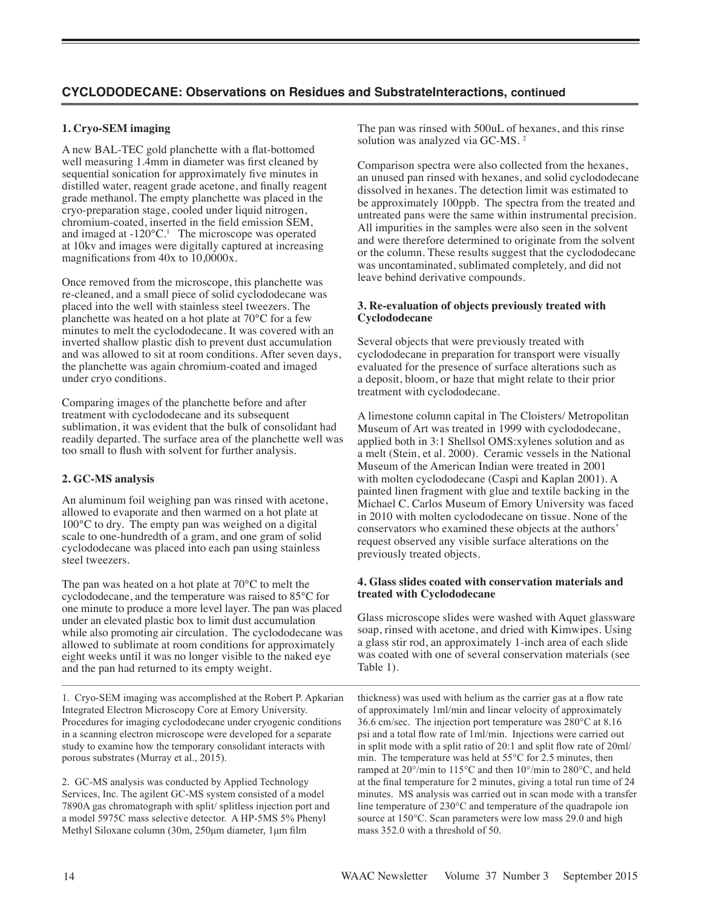# **CYCLODODECANE: Observations on Residues and SubstrateInteractions, continued**

# **1. Cryo-SEM imaging**

A new BAL-TEC gold planchette with a flat-bottomed well measuring 1.4mm in diameter was first cleaned by sequential sonication for approximately five minutes in distilled water, reagent grade acetone, and finally reagent grade methanol. The empty planchette was placed in the cryo-preparation stage, cooled under liquid nitrogen, chromium-coated, inserted in the field emission SEM, and imaged at  $-120^{\circ}$ C.<sup>1</sup> The microscope was operated at 10kv and images were digitally captured at increasing magnifications from 40x to 10,0000x.

Once removed from the microscope, this planchette was re-cleaned, and a small piece of solid cyclododecane was placed into the well with stainless steel tweezers. The planchette was heated on a hot plate at 70°C for a few minutes to melt the cyclododecane. It was covered with an inverted shallow plastic dish to prevent dust accumulation and was allowed to sit at room conditions. After seven days, the planchette was again chromium-coated and imaged under cryo conditions.

Comparing images of the planchette before and after treatment with cyclododecane and its subsequent sublimation, it was evident that the bulk of consolidant had readily departed. The surface area of the planchette well was too small to flush with solvent for further analysis.

### **2. GC-MS analysis**

An aluminum foil weighing pan was rinsed with acetone, allowed to evaporate and then warmed on a hot plate at 100°C to dry. The empty pan was weighed on a digital scale to one-hundredth of a gram, and one gram of solid cyclododecane was placed into each pan using stainless steel tweezers.

The pan was heated on a hot plate at 70°C to melt the cyclododecane, and the temperature was raised to 85°C for one minute to produce a more level layer. The pan was placed under an elevated plastic box to limit dust accumulation while also promoting air circulation. The cyclododecane was allowed to sublimate at room conditions for approximately eight weeks until it was no longer visible to the naked eye and the pan had returned to its empty weight.

1. Cryo-SEM imaging was accomplished at the Robert P. Apkarian Integrated Electron Microscopy Core at Emory University. Procedures for imaging cyclododecane under cryogenic conditions in a scanning electron microscope were developed for a separate study to examine how the temporary consolidant interacts with porous substrates (Murray et al., 2015).

2. GC-MS analysis was conducted by Applied Technology Services, Inc. The agilent GC-MS system consisted of a model 7890A gas chromatograph with split/ splitless injection port and a model 5975C mass selective detector. A HP-5MS 5% Phenyl Methyl Siloxane column (30m, 250μm diameter, 1μm film

The pan was rinsed with 500uL of hexanes, and this rinse solution was analyzed via GC-MS.<sup>2</sup>

Comparison spectra were also collected from the hexanes, an unused pan rinsed with hexanes, and solid cyclododecane dissolved in hexanes. The detection limit was estimated to be approximately 100ppb. The spectra from the treated and untreated pans were the same within instrumental precision. All impurities in the samples were also seen in the solvent and were therefore determined to originate from the solvent or the column. These results suggest that the cyclododecane was uncontaminated, sublimated completely, and did not leave behind derivative compounds.

### **3. Re-evaluation of objects previously treated with Cyclododecane**

Several objects that were previously treated with cyclododecane in preparation for transport were visually evaluated for the presence of surface alterations such as a deposit, bloom, or haze that might relate to their prior treatment with cyclododecane.

A limestone column capital in The Cloisters/ Metropolitan Museum of Art was treated in 1999 with cyclododecane, applied both in 3:1 Shellsol OMS:xylenes solution and as a melt (Stein, et al. 2000). Ceramic vessels in the National Museum of the American Indian were treated in 2001 with molten cyclododecane (Caspi and Kaplan 2001). A painted linen fragment with glue and textile backing in the Michael C. Carlos Museum of Emory University was faced in 2010 with molten cyclododecane on tissue. None of the conservators who examined these objects at the authors' request observed any visible surface alterations on the previously treated objects.

#### **4. Glass slides coated with conservation materials and treated with Cyclododecane**

Glass microscope slides were washed with Aquet glassware soap, rinsed with acetone, and dried with Kimwipes. Using a glass stir rod, an approximately 1-inch area of each slide was coated with one of several conservation materials (see Table 1).

thickness) was used with helium as the carrier gas at a flow rate of approximately 1ml/min and linear velocity of approximately 36.6 cm/sec. The injection port temperature was 280°C at 8.16 psi and a total flow rate of 1ml/min. Injections were carried out in split mode with a split ratio of 20:1 and split flow rate of 20ml/ min. The temperature was held at 55°C for 2.5 minutes, then ramped at 20°/min to 115°C and then 10°/min to 280°C, and held at the final temperature for 2 minutes, giving a total run time of 24 minutes. MS analysis was carried out in scan mode with a transfer line temperature of 230°C and temperature of the quadrapole ion source at 150°C. Scan parameters were low mass 29.0 and high mass 352.0 with a threshold of 50.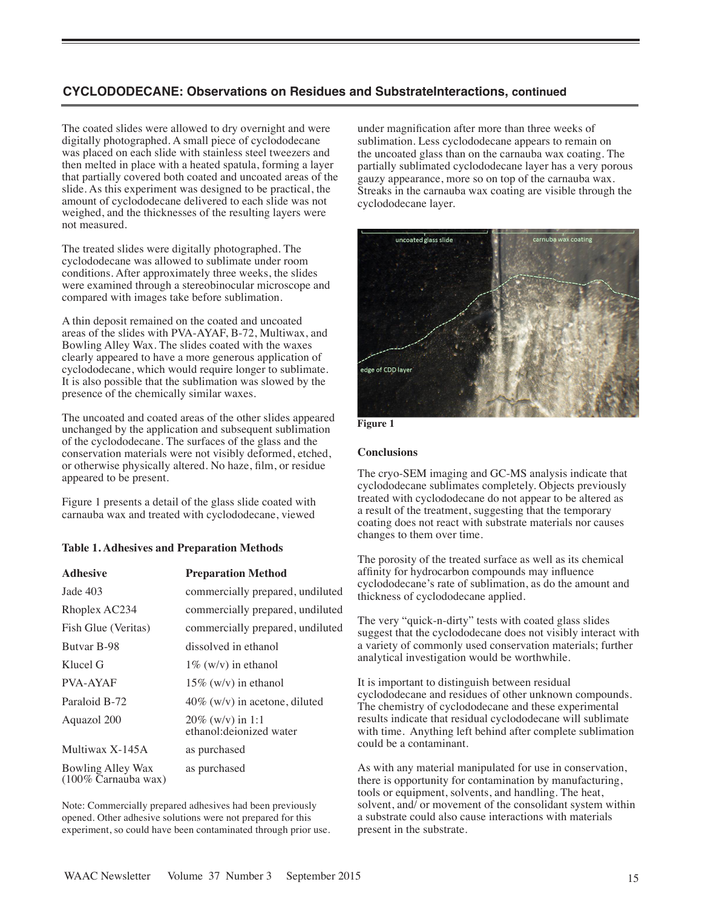# **CYCLODODECANE: Observations on Residues and SubstrateInteractions, continued**

The coated slides were allowed to dry overnight and were digitally photographed. A small piece of cyclododecane was placed on each slide with stainless steel tweezers and then melted in place with a heated spatula, forming a layer that partially covered both coated and uncoated areas of the slide. As this experiment was designed to be practical, the amount of cyclododecane delivered to each slide was not weighed, and the thicknesses of the resulting layers were not measured.

The treated slides were digitally photographed. The cyclododecane was allowed to sublimate under room conditions. After approximately three weeks, the slides were examined through a stereobinocular microscope and compared with images take before sublimation.

A thin deposit remained on the coated and uncoated areas of the slides with PVA-AYAF, B-72, Multiwax, and Bowling Alley Wax. The slides coated with the waxes clearly appeared to have a more generous application of cyclododecane, which would require longer to sublimate. It is also possible that the sublimation was slowed by the presence of the chemically similar waxes.

The uncoated and coated areas of the other slides appeared unchanged by the application and subsequent sublimation of the cyclododecane. The surfaces of the glass and the conservation materials were not visibly deformed, etched, or otherwise physically altered. No haze, film, or residue appeared to be present.

Figure 1 presents a detail of the glass slide coated with carnauba wax and treated with cyclododecane, viewed

#### **Table 1. Adhesives and Preparation Methods**

| <b>Adhesive</b>                                     | <b>Preparation Method</b>                       |
|-----------------------------------------------------|-------------------------------------------------|
| Jade 403                                            | commercially prepared, undiluted                |
| Rhoplex AC234                                       | commercially prepared, undiluted                |
| Fish Glue (Veritas)                                 | commercially prepared, undiluted                |
| Butvar B-98                                         | dissolved in ethanol                            |
| Klucel G                                            | $1\%$ (w/v) in ethanol                          |
| <b>PVA-AYAF</b>                                     | $15\%$ (w/v) in ethanol                         |
| Paraloid B-72                                       | $40\%$ (w/v) in acetone, diluted                |
| Aquazol 200                                         | $20\%$ (w/v) in 1:1<br>ethanol: deionized water |
| Multiwax X-145A                                     | as purchased                                    |
| Bowling Alley Wax<br>$(100\% \text{ Carnauba wax})$ | as purchased                                    |

Note: Commercially prepared adhesives had been previously opened. Other adhesive solutions were not prepared for this experiment, so could have been contaminated through prior use.

under magnification after more than three weeks of sublimation. Less cyclododecane appears to remain on the uncoated glass than on the carnauba wax coating. The partially sublimated cyclododecane layer has a very porous gauzy appearance, more so on top of the carnauba wax. Streaks in the carnauba wax coating are visible through the cyclododecane layer.





#### **Conclusions**

The cryo-SEM imaging and GC-MS analysis indicate that cyclododecane sublimates completely. Objects previously treated with cyclododecane do not appear to be altered as a result of the treatment, suggesting that the temporary coating does not react with substrate materials nor causes changes to them over time.

The porosity of the treated surface as well as its chemical affinity for hydrocarbon compounds may influence cyclododecane's rate of sublimation, as do the amount and thickness of cyclododecane applied.

The very "quick-n-dirty" tests with coated glass slides suggest that the cyclododecane does not visibly interact with a variety of commonly used conservation materials; further analytical investigation would be worthwhile.

It is important to distinguish between residual cyclododecane and residues of other unknown compounds. The chemistry of cyclododecane and these experimental results indicate that residual cyclododecane will sublimate with time. Anything left behind after complete sublimation could be a contaminant.

As with any material manipulated for use in conservation, there is opportunity for contamination by manufacturing, tools or equipment, solvents, and handling. The heat, solvent, and/ or movement of the consolidant system within a substrate could also cause interactions with materials present in the substrate.